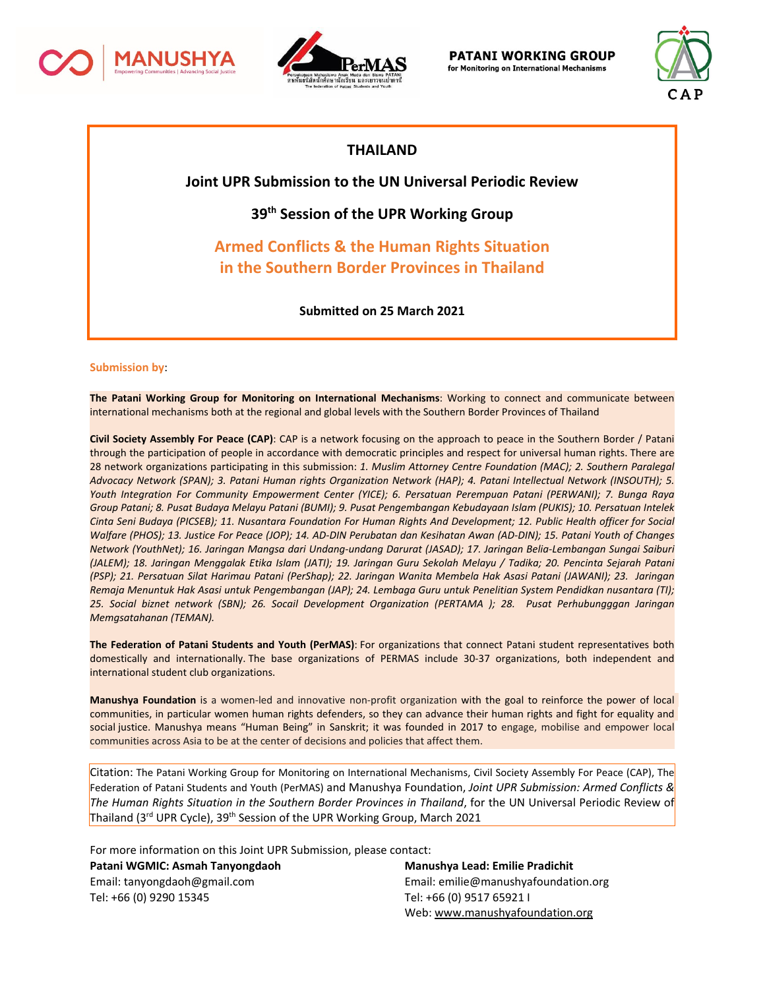



**PATANI WORKING GROUP** for Monitoring on International Mechanisms



## **THAILAND**

**Joint UPR Submission to the UN Universal Periodic Review**

**39th Session of the UPR Working Group**

**Armed Conflicts & the Human Rights Situation in the Southern Border Provinces in Thailand**

**Submitted on 25 March 2021**

#### **Submission by**:

**The Patani Working Group for Monitoring on International Mechanisms**: Working to connect and communicate between international mechanisms both at the regional and global levels with the Southern Border Provinces of Thailand

**Civil Society Assembly For Peace (CAP)**: CAP is <sup>a</sup> network focusing on the approach to peace in the Southern Border / Patani through the participation of people in accordance with democratic principles and respect for universal human rights. There are 28 network organizations participating in this submission: *1. Muslim Attorney Centre Foundation (MAC); 2. Southern Paralegal* Advocacy Network (SPAN); 3. Patani Human rights Organization Network (HAP); 4. Patani Intellectual Network (INSOUTH); 5. *Youth Integration For Community Empowerment Center (YICE); 6. Persatuan Perempuan Patani (PERWANI); 7. Bunga Raya* Group Patani; 8. Pusat Budaya Melayu Patani (BUMI); 9. Pusat Pengembangan Kebudayaan Islam (PUKIS); 10. Persatuan Intelek Cinta Seni Budaya (PICSEB); 11. Nusantara Foundation For Human Rights And Development; 12. Public Health officer for Social Walfare (PHOS); 13. Justice For Peace (JOP); 14. AD-DIN Perubatan dan Kesihatan Awan (AD-DIN); 15. Patani Youth of Changes *Network (YouthNet); 16. Jaringan Mangsa dari Undang-undang Darurat (JASAD); 17. Jaringan Belia-Lembangan Sungai Saiburi* (JALEM); 18. Jaringan Menggalak Etika Islam (JATI); 19. Jaringan Guru Sekolah Melayu / Tadika; 20. Pencinta Sejarah Patani (PSP); 21. Persatuan Silat Harimau Patani (PerShap); 22. Jaringan Wanita Membela Hak Asasi Patani (JAWANI); 23. Jaringan Remaja Menuntuk Hak Asasi untuk Pengembangan (JAP); 24. Lembaga Guru untuk Penelitian System Pendidkan nusantara (TI); *25. Social biznet network (SBN); 26. Socail Development Organization (PERTAMA ); 28. Pusat Perhubungggan Jaringan Memgsatahanan (TEMAN).*

**The Federation of Patani Students and Youth (PerMAS)**: For organizations that connect Patani student representatives both domestically and internationally. The base organizations of PERMAS include 30-37 organizations, both independent and international student club organizations.

**Manushya Foundation** is <sup>a</sup> women-led and innovative non-profit organization with the goal to reinforce the power of local communities, in particular women human rights defenders, so they can advance their human rights and fight for equality and social justice. Manushya means "Human Being" in Sanskrit; it was founded in 2017 to engage, mobilise and empower local communities across Asia to be at the center of decisions and policies that affect them.

Citation: The Patani Working Group for Monitoring on International Mechanisms, Civil Society Assembly For Peace (CAP), The Federation of Patani Students and Youth (PerMAS) and Manushya Foundation, *Joint UPR Submission: Armed Conflicts & The Human Rights Situation in the Southern Border Provinces in Thailand*, for the UN Universal Periodic Review of Thailand (3<sup>rd</sup> UPR Cycle), 39<sup>th</sup> Session of the UPR Working Group, March 2021

For more information on this Joint UPR Submission, please contact:

**Patani WGMIC: Asmah Tanyongdaoh Manushya Lead: Emilie Pradichit** Tel: +66 (0) 9290 15345 Tel: +66 (0) 9517 65921 I

Email: tanyongdaoh@gmail.com Email: emilie@manushyafoundation.org Web: [www.manushyafoundation.org](http://www.manushyafoundation.org)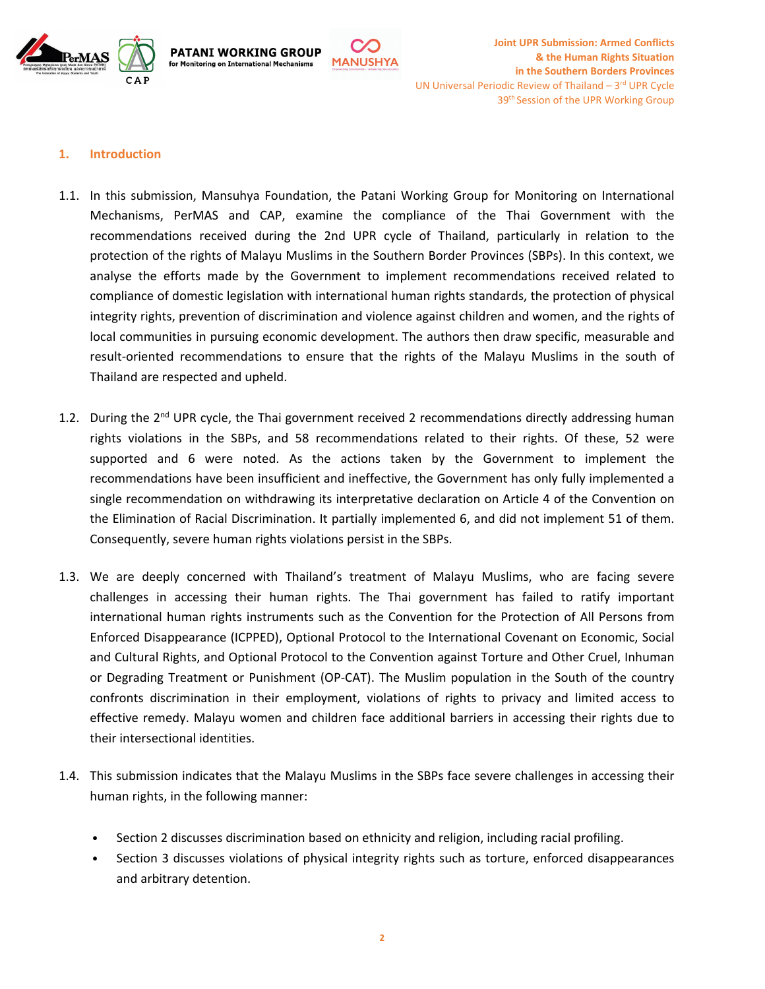



#### **1. Introduction**

**PATANI WORKING GROUP** 

for Monitoring on International Mechanisms

1.1. In this submission, Mansuhya Foundation, the Patani Working Group for Monitoring on International Mechanisms, PerMAS and CAP, examine the compliance of the Thai Government with the recommendations received during the 2nd UPR cycle of Thailand, particularly in relation to the protection of the rights of Malayu Muslims in the Southern Border Provinces (SBPs). In this context, we analyse the efforts made by the Government to implement recommendations received related to compliance of domestic legislation with international human rights standards, the protection of physical integrity rights, prevention of discrimination and violence against children and women, and the rights of local communities in pursuing economic development. The authors then draw specific, measurable and result-oriented recommendations to ensure that the rights of the Malayu Muslims in the south of Thailand are respected and upheld.

**MANUSHYA** 

- 1.2. During the 2<sup>nd</sup> UPR cycle, the Thai government received 2 recommendations directly addressing human rights violations in the SBPs, and 58 recommendations related to their rights. Of these, 52 were supported and 6 were noted. As the actions taken by the Government to implement the recommendations have been insufficient and ineffective, the Government has only fully implemented <sup>a</sup> single recommendation on withdrawing its interpretative declaration on Article 4 of the Convention on the Elimination of Racial Discrimination. It partially implemented 6, and did not implement 51 of them. Consequently, severe human rights violations persist in the SBPs.
- 1.3. We are deeply concerned with Thailand'<sup>s</sup> treatment of Malayu Muslims, who are facing severe challenges in accessing their human rights. The Thai government has failed to ratify important international human rights instruments such as the Convention for the Protection of All Persons from Enforced Disappearance (ICPPED), Optional Protocol to the International Covenant on Economic, Social and Cultural Rights, and Optional Protocol to the Convention against Torture and Other Cruel, Inhuman or Degrading Treatment or Punishment (OP-CAT). The Muslim population in the South of the country confronts discrimination in their employment, violations of rights to privacy and limited access to effective remedy. Malayu women and children face additional barriers in accessing their rights due to their intersectional identities.
- 1.4. This submission indicates that the Malayu Muslims in the SBPs face severe challenges in accessing their human rights, in the following manner:
	- •Section 2 discusses discrimination based on ethnicity and religion, including racial profiling.
	- • Section 3 discusses violations of physical integrity rights such as torture, enforced disappearances and arbitrary detention.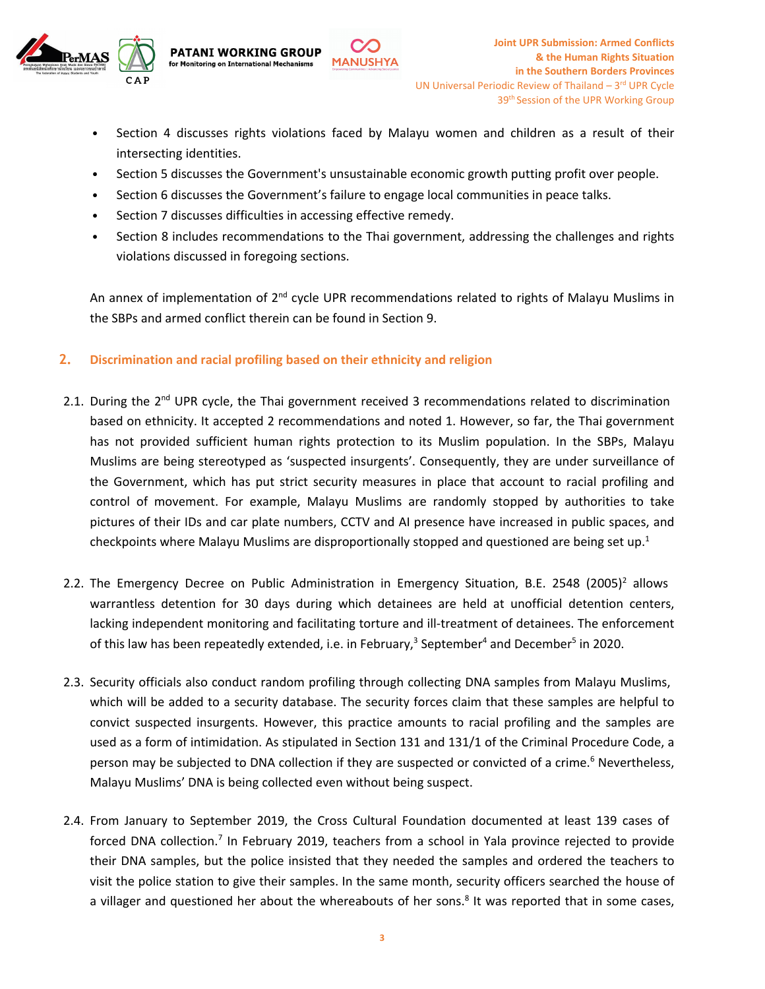

- • Section 4 discusses rights violations faced by Malayu women and children as <sup>a</sup> result of their intersecting identities.
- •Section 5 discusses the Government's unsustainable economic growth putting profit over people.

**MANUSHYA** 

- •Section 6 discusses the Government'<sup>s</sup> failure to engage local communities in peace talks.
- •Section 7 discusses difficulties in accessing effective remedy.

**PATANI WORKING GROUP** 

for Monitoring on International Mechanisms

• Section 8 includes recommendations to the Thai government, addressing the challenges and rights violations discussed in foregoing sections.

An annex of implementation of 2<sup>nd</sup> cycle UPR recommendations related to rights of Malayu Muslims in the SBPs and armed conflict therein can be found in Section 9.

### **2. Discrimination and racial profiling based on their ethnicity and religion**

- 2.1. During the 2<sup>nd</sup> UPR cycle, the Thai government received 3 recommendations related to discrimination based on ethnicity. It accepted 2 recommendations and noted 1. However, so far, the Thai government has not provided sufficient human rights protection to its Muslim population. In the SBPs, Malayu Muslims are being stereotyped as 'suspected insurgents'. Consequently, they are under surveillance of the Government, which has put strict security measures in place that account to racial profiling and control of movement. For example, Malayu Muslims are randomly stopped by authorities to take pictures of their IDs and car plate numbers, CCTV and AI presence have increased in public spaces, and checkpoints where Malayu Muslims are disproportionally stopped and questioned are being set up.<sup>1</sup>
- 2.2. The Emergency Decree on Public Administration in Emergency Situation, B.E. 2548 (2005)<sup>2</sup> allows warrantless detention for 30 days during which detainees are held at unofficial detention centers, lacking independent monitoring and facilitating torture and ill-treatment of detainees. The enforcement of this law has been repeatedly extended, i.e. in February,<sup>3</sup> September<sup>4</sup> and December<sup>5</sup> in 2020.
- 2.3. Security officials also conduct random profiling through collecting DNA samples from Malayu Muslims, which will be added to <sup>a</sup> security database. The security forces claim that these samples are helpful to convict suspected insurgents. However, this practice amounts to racial profiling and the samples are used as <sup>a</sup> form of intimidation. As stipulated in Section 131 and 131/1 of the Criminal Procedure Code, <sup>a</sup> person may be subjected to DNA collection if they are suspected or convicted of a crime.<sup>6</sup> Nevertheless, Malayu Muslims' DNA is being collected even without being suspect.
- 2.4. From January to September 2019, the Cross Cultural Foundation documented at least 139 cases of forced DNA collection.<sup>7</sup> In February 2019, teachers from a school in Yala province rejected to provide their DNA samples, but the police insisted that they needed the samples and ordered the teachers to visit the police station to give their samples. In the same month, security officers searched the house of a villager and questioned her about the whereabouts of her sons.<sup>8</sup> It was reported that in some cases,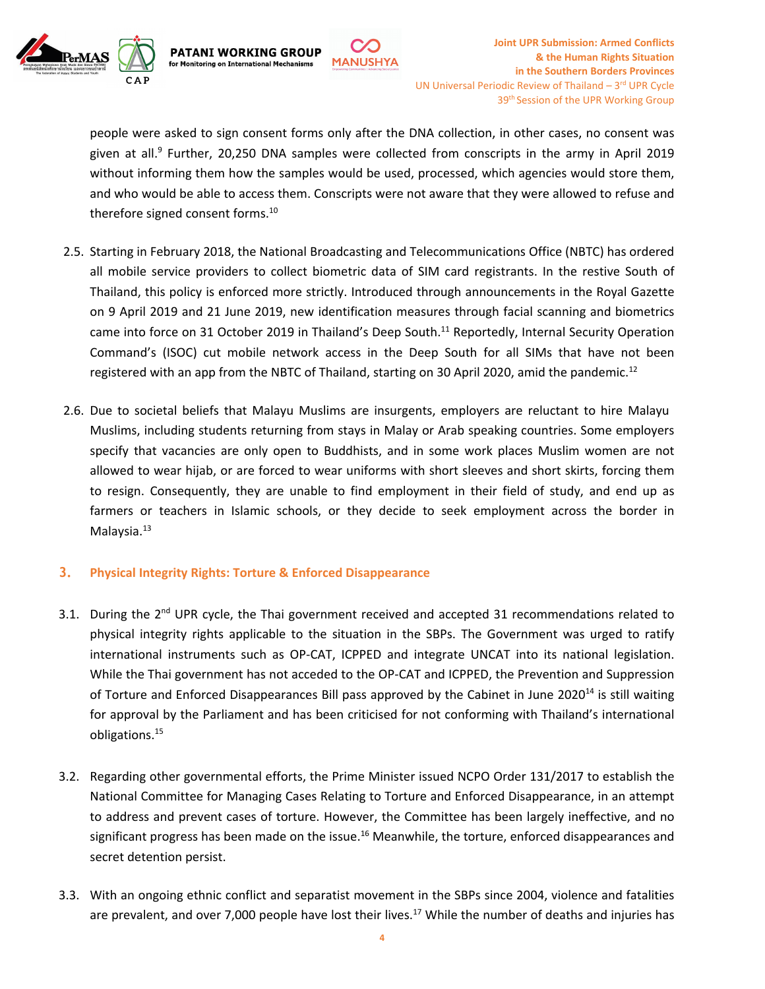

people were asked to sign consent forms only after the DNA collection, in other cases, no consent was given at all.<sup>9</sup> Further, 20,250 DNA samples were collected from conscripts in the army in April 2019 without informing them how the samples would be used, processed, which agencies would store them, and who would be able to access them. Conscripts were not aware that they were allowed to refuse and therefore signed consent forms. $^{\rm 10}$ 

**MANUSHYA** 

- 2.5. Starting in February 2018, the National Broadcasting and Telecommunications Office (NBTC) has ordered all mobile service providers to collect biometric data of SIM card registrants. In the restive South of Thailand, this policy is enforced more strictly. Introduced through announcements in the Royal Gazette on 9 April 2019 and 21 June 2019, new identification measures through facial scanning and biometrics came into force on 31 October 2019 in Thailand's Deep South.<sup>11</sup> Reportedly, Internal Security Operation Command'<sup>s</sup> (ISOC) cut mobile network access in the Deep South for all SIMs that have not been registered with an app from the NBTC of Thailand, starting on 30 April 2020, amid the pandemic.<sup>12</sup>
- 2.6. Due to societal beliefs that Malayu Muslims are insurgents, employers are reluctant to hire Malayu Muslims, including students returning from stays in Malay or Arab speaking countries. Some employers specify that vacancies are only open to Buddhists, and in some work places Muslim women are not allowed to wear hijab, or are forced to wear uniforms with short sleeves and short skirts, forcing them to resign. Consequently, they are unable to find employment in their field of study, and end up as farmers or teachers in Islamic schools, or they decide to seek employment across the border in Malaysia. <sup>13</sup>

### **3. Physical Integrity Rights: Torture & Enforced Disappearance**

**PATANI WORKING GROUP** 

for Monitoring on International Mechanisms

- 3.1. During the 2<sup>nd</sup> UPR cycle, the Thai government received and accepted 31 recommendations related to physical integrity rights applicable to the situation in the SBPs. The Government was urged to ratify international instruments such as OP-CAT, ICPPED and integrate UNCAT into its national legislation. While the Thai government has not acceded to the OP-CAT and ICPPED, the Prevention and Suppression of Torture and Enforced Disappearances Bill pass approved by the Cabinet in June 2020<sup>14</sup> is still waiting for approval by the Parliament and has been criticised for not conforming with Thailand'<sup>s</sup> international obligations. 15
- 3.2. Regarding other governmental efforts, the Prime Minister issued NCPO Order 131/2017 to establish the National Committee for Managing Cases Relating to Torture and Enforced Disappearance, in an attempt to address and prevent cases of torture. However, the Committee has been largely ineffective, and no significant progress has been made on the issue.<sup>16</sup> Meanwhile, the torture, enforced disappearances and secret detention persist.
- 3.3. With an ongoing ethnic conflict and separatist movement in the SBPs since 2004, violence and fatalities are prevalent, and over 7,000 people have lost their lives.<sup>17</sup> While the number of deaths and injuries has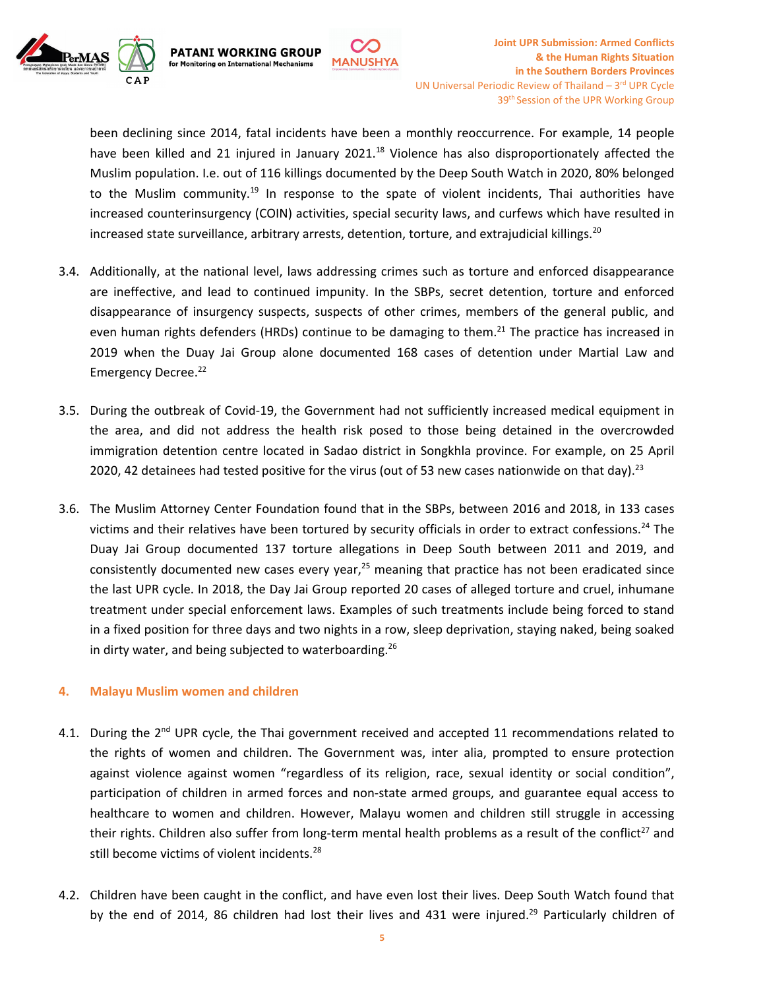

**PATANI WORKING GROUP** 

for Monitoring on International Mechanisms

been declining since 2014, fatal incidents have been <sup>a</sup> monthly reoccurrence. For example, 14 people have been killed and 21 injured in January 2021.<sup>18</sup> Violence has also disproportionately affected the Muslim population. I.e. out of 116 killings documented by the Deep South Watch in 2020, 80% belonged to the Muslim community.<sup>19</sup> In response to the spate of violent incidents, Thai authorities have increased counterinsurgency (COIN) activities, special security laws, and curfews which have resulted in increased state surveillance, arbitrary arrests, detention, torture, and extrajudicial killings.<sup>20</sup>

**MANUSHYA** 

- 3.4. Additionally, at the national level, laws addressing crimes such as torture and enforced disappearance are ineffective, and lead to continued impunity. In the SBPs, secret detention, torture and enforced disappearance of insurgency suspects, suspects of other crimes, members of the general public, and even human rights defenders (HRDs) continue to be damaging to them.<sup>21</sup> The practice has increased in 2019 when the Duay Jai Group alone documented 168 cases of detention under Martial Law and Emergency Decree.<sup>22</sup>
- 3.5. During the outbreak of Covid-19, the Government had not sufficiently increased medical equipment in the area, and did not address the health risk posed to those being detained in the overcrowded immigration detention centre located in Sadao district in Songkhla province. For example, on 25 April 2020, 42 detainees had tested positive for the virus (out of 53 new cases nationwide on that day).<sup>23</sup>
- 3.6. The Muslim Attorney Center Foundation found that in the SBPs, between 2016 and 2018, in 133 cases victims and their relatives have been tortured by security officials in order to extract confessions.<sup>24</sup> The Duay Jai Group documented 137 torture allegations in Deep South between 2011 and 2019, and consistently documented new cases every year,<sup>25</sup> meaning that practice has not been eradicated since the last UPR cycle. In 2018, the Day Jai Group reported 20 cases of alleged torture and cruel, inhumane treatment under special enforcement laws. Examples of such treatments include being forced to stand in <sup>a</sup> fixed position for three days and two nights in <sup>a</sup> row, sleep deprivation, staying naked, being soaked in dirty water, and being subjected to waterboarding. 26

#### **4. Malayu Muslim women and children**

- 4.1. During the 2<sup>nd</sup> UPR cycle, the Thai government received and accepted 11 recommendations related to the rights of women and children. The Government was, inter alia, prompted to ensure protection against violence against women "regardless of its religion, race, sexual identity or social condition", participation of children in armed forces and non-state armed groups, and guarantee equal access to healthcare to women and children. However, Malayu women and children still struggle in accessing their rights. Children also suffer from long-term mental health problems as a result of the conflict<sup>27</sup> and still become victims of violent incidents. 28
- 4.2. Children have been caught in the conflict, and have even lost their lives. Deep South Watch found that by the end of 2014, 86 children had lost their lives and 431 were injured.<sup>29</sup> Particularly children of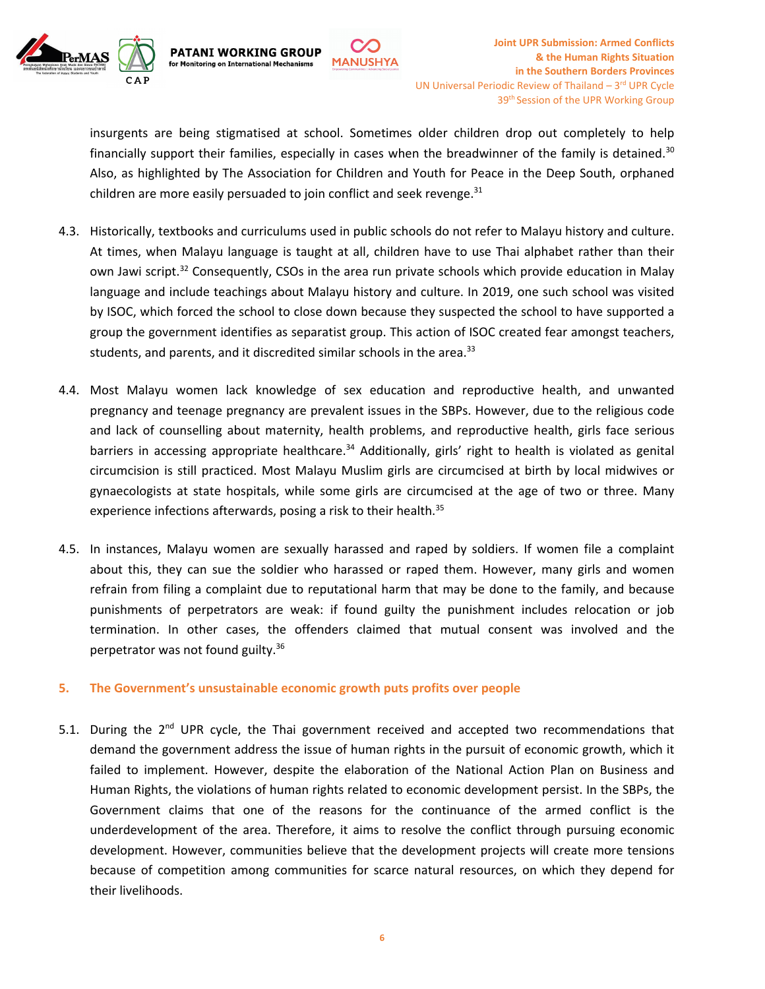

insurgents are being stigmatised at school. Sometimes older children drop out completely to help financially support their families, especially in cases when the breadwinner of the family is detained.<sup>30</sup> Also, as highlighted by The Association for Children and Youth for Peace in the Deep South, orphaned children are more easily persuaded to join conflict and seek revenge. $^{31}$ 

**MANUSHYA** 

**PATANI WORKING GROUP** 

for Monitoring on International Mechanisms

- 4.3. Historically, textbooks and curriculums used in public schools do not refer to Malayu history and culture. At times, when Malayu language is taught at all, children have to use Thai alphabet rather than their own Jawi script.<sup>32</sup> Consequently, CSOs in the area run private schools which provide education in Malay language and include teachings about Malayu history and culture. In 2019, one such school was visited by ISOC, which forced the school to close down because they suspected the school to have supported <sup>a</sup> group the government identifies as separatist group. This action of ISOC created fear amongst teachers, students, and parents, and it discredited similar schools in the area.<sup>33</sup>
- 4.4. Most Malayu women lack knowledge of sex education and reproductive health, and unwanted pregnancy and teenage pregnancy are prevalent issues in the SBPs. However, due to the religious code and lack of counselling about maternity, health problems, and reproductive health, girls face serious barriers in accessing appropriate healthcare.<sup>34</sup> Additionally, girls' right to health is violated as genital circumcision is still practiced. Most Malayu Muslim girls are circumcised at birth by local midwives or gynaecologists at state hospitals, while some girls are circumcised at the age of two or three. Many experience infections afterwards, posing a risk to their health.<sup>35</sup>
- 4.5. In instances, Malayu women are sexually harassed and raped by soldiers. If women file <sup>a</sup> complaint about this, they can sue the soldier who harassed or raped them. However, many girls and women refrain from filing <sup>a</sup> complaint due to reputational harm that may be done to the family, and because punishments of perpetrators are weak: if found guilty the punishment includes relocation or job termination. In other cases, the offenders claimed that mutual consent was involved and the perpetrator was not found guilty.<sup>36</sup>

#### **5. The Government'<sup>s</sup> unsustainable economic growth puts profits over people**

5.1. During the 2<sup>nd</sup> UPR cycle, the Thai government received and accepted two recommendations that demand the government address the issue of human rights in the pursuit of economic growth, which it failed to implement. However, despite the elaboration of the National Action Plan on Business and Human Rights, the violations of human rights related to economic development persist. In the SBPs, the Government claims that one of the reasons for the continuance of the armed conflict is the underdevelopment of the area. Therefore, it aims to resolve the conflict through pursuing economic development. However, communities believe that the development projects will create more tensions because of competition among communities for scarce natural resources, on which they depend for their livelihoods.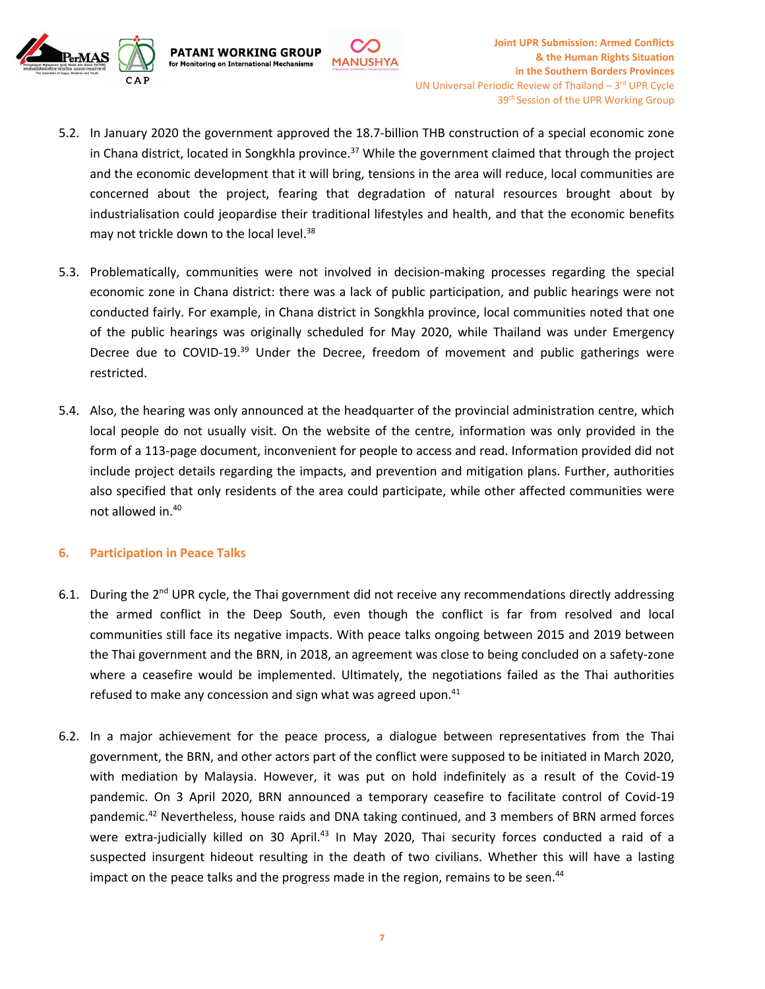

5.2. In January 2020 the government approved the 18.7-billion THB construction of <sup>a</sup> special economic zone in Chana district, located in Songkhla province. <sup>37</sup> While the government claimed that through the project and the economic development that it will bring, tensions in the area will reduce, local communities are concerned about the project, fearing that degradation of natural resources brought about by industrialisation could jeopardise their traditional lifestyles and health, and that the economic benefits may not trickle down to the local level.<sup>38</sup>

**MANUSHYA** 

**PATANI WORKING GROUP** 

for Monitoring on International Mechanisms

- 5.3. Problematically, communities were not involved in decision-making processes regarding the special economic zone in Chana district: there was <sup>a</sup> lack of public participation, and public hearings were not conducted fairly. For example, in Chana district in Songkhla province, local communities noted that one of the public hearings was originally scheduled for May 2020, while Thailand was under Emergency Decree due to COVID-19.<sup>39</sup> Under the Decree, freedom of movement and public gatherings were restricted.
- 5.4. Also, the hearing was only announced at the headquarter of the provincial administration centre, which local people do not usually visit. On the website of the centre, information was only provided in the form of <sup>a</sup> 113-page document, inconvenient for people to access and read. Information provided did not include project details regarding the impacts, and prevention and mitigation plans. Further, authorities also specified that only residents of the area could participate, while other affected communities were not allowed in. 40

#### **6. Participation in Peace Talks**

- 6.1. During the 2<sup>nd</sup> UPR cycle, the Thai government did not receive any recommendations directly addressing the armed conflict in the Deep South, even though the conflict is far from resolved and local communities still face its negative impacts. With peace talks ongoing between 2015 and 2019 between the Thai government and the BRN, in 2018, an agreement was close to being concluded on <sup>a</sup> safety-zone where <sup>a</sup> ceasefire would be implemented. Ultimately, the negotiations failed as the Thai authorities refused to make any concession and sign what was agreed upon.<sup>41</sup>
- 6.2. In <sup>a</sup> major achievement for the peace process, <sup>a</sup> dialogue between representatives from the Thai government, the BRN, and other actors part of the conflict were supposed to be initiated in March 2020, with mediation by Malaysia. However, it was put on hold indefinitely as <sup>a</sup> result of the Covid-19 pandemic. On 3 April 2020, BRN announced <sup>a</sup> temporary ceasefire to facilitate control of Covid-19 pandemic.<sup>42</sup> Nevertheless, house raids and DNA taking continued, and 3 members of BRN armed forces were extra-judicially killed on 30 April.<sup>43</sup> In May 2020, Thai security forces conducted a raid of a suspected insurgent hideout resulting in the death of two civilians. Whether this will have <sup>a</sup> lasting impact on the peace talks and the progress made in the region, remains to be seen.<sup>44</sup>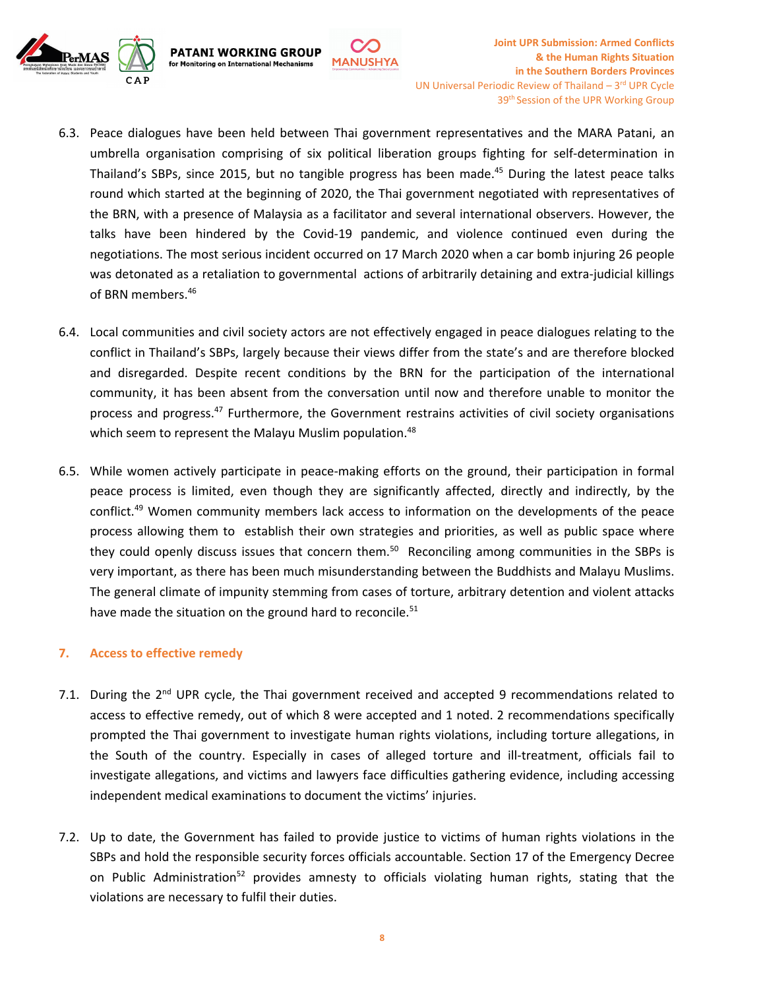

6.3. Peace dialogues have been held between Thai government representatives and the MARA Patani, an umbrella organisation comprising of six political liberation groups fighting for self-determination in Thailand'<sup>s</sup> SBPs, since 2015, but no tangible progress has been made. 45 During the latest peace talks round which started at the beginning of 2020, the Thai government negotiated with representatives of the BRN, with <sup>a</sup> presence of Malaysia as <sup>a</sup> facilitator and several international observers. However, the talks have been hindered by the Covid-19 pandemic, and violence continued even during the negotiations. The most serious incident occurred on 17 March 2020 when <sup>a</sup> car bomb injuring 26 people was detonated as <sup>a</sup> retaliation to governmental actions of arbitrarily detaining and extra-judicial killings of BRN members. 46

**MANUSHYA** 

**PATANI WORKING GROUP** 

for Monitoring on International Mechanisms

- 6.4. Local communities and civil society actors are not effectively engaged in peace dialogues relating to the conflict in Thailand'<sup>s</sup> SBPs, largely because their views differ from the state'<sup>s</sup> and are therefore blocked and disregarded. Despite recent conditions by the BRN for the participation of the international community, it has been absent from the conversation until now and therefore unable to monitor the process and progress.<sup>47</sup> Furthermore, the Government restrains activities of civil society organisations which seem to represent the Malayu Muslim population.<sup>48</sup>
- 6.5. While women actively participate in peace-making efforts on the ground, their participation in formal peace process is limited, even though they are significantly affected, directly and indirectly, by the conflict. <sup>49</sup> Women community members lack access to information on the developments of the peace process allowing them to establish their own strategies and priorities, as well as public space where they could openly discuss issues that concern them.<sup>50</sup> Reconciling among communities in the SBPs is very important, as there has been much misunderstanding between the Buddhists and Malayu Muslims. The general climate of impunity stemming from cases of torture, arbitrary detention and violent attacks have made the situation on the ground hard to reconcile.<sup>51</sup>

#### **7. Access to effective remedy**

- 7.1. During the 2<sup>nd</sup> UPR cycle, the Thai government received and accepted 9 recommendations related to access to effective remedy, out of which 8 were accepted and 1 noted. 2 recommendations specifically prompted the Thai government to investigate human rights violations, including torture allegations, in the South of the country. Especially in cases of alleged torture and ill-treatment, officials fail to investigate allegations, and victims and lawyers face difficulties gathering evidence, including accessing independent medical examinations to document the victims' injuries.
- 7.2. Up to date, the Government has failed to provide justice to victims of human rights violations in the SBPs and hold the responsible security forces officials accountable. Section 17 of the Emergency Decree on Public Administration<sup>52</sup> provides amnesty to officials violating human rights, stating that the violations are necessary to fulfil their duties.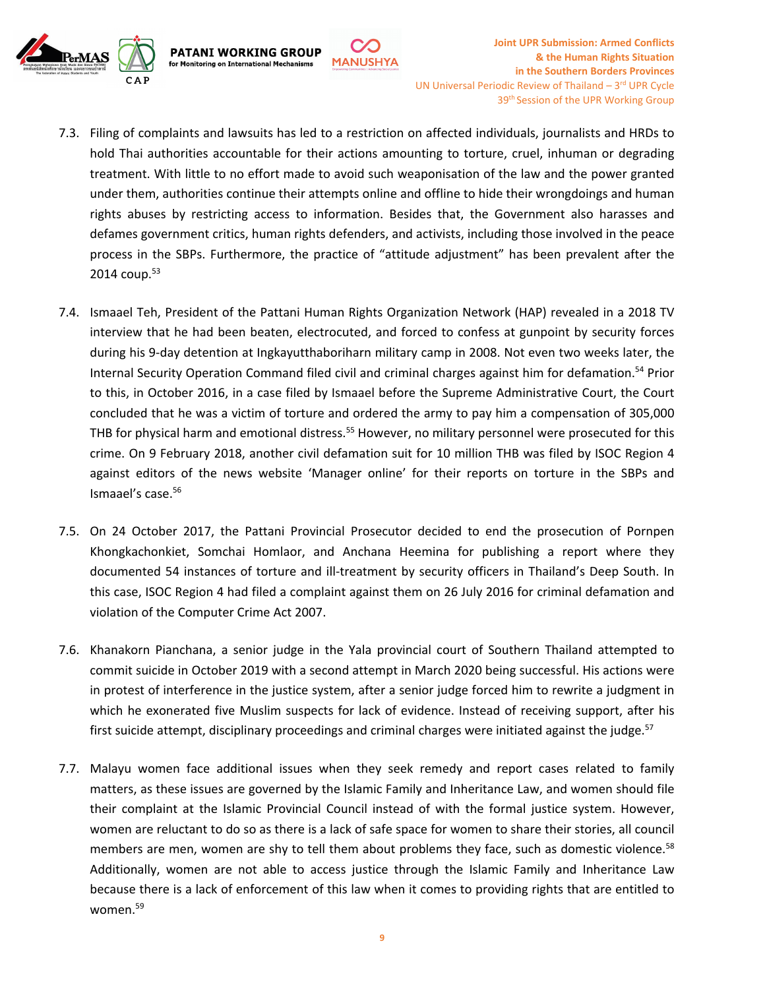

7.3. Filing of complaints and lawsuits has led to <sup>a</sup> restriction on affected individuals, journalists and HRDs to hold Thai authorities accountable for their actions amounting to torture, cruel, inhuman or degrading treatment. With little to no effort made to avoid such weaponisation of the law and the power granted under them, authorities continue their attempts online and offline to hide their wrongdoings and human rights abuses by restricting access to information. Besides that, the Government also harasses and defames government critics, human rights defenders, and activists, including those involved in the peace process in the SBPs. Furthermore, the practice of "attitude adjustment" has been prevalent after the 2014 coup.<sup>53</sup>

**MANUSHYA** 

**PATANI WORKING GROUP** 

for Monitoring on International Mechanisms

- 7.4. Ismaael Teh, President of the Pattani Human Rights Organization Network (HAP) revealed in <sup>a</sup> 2018 TV interview that he had been beaten, electrocuted, and forced to confess at gunpoint by security forces during his 9-day detention at Ingkayutthaboriharn military camp in 2008. Not even two weeks later, the Internal Security Operation Command filed civil and criminal charges against him for defamation. 54 Prior to this, in October 2016, in <sup>a</sup> case filed by Ismaael before the Supreme Administrative Court, the Court concluded that he was <sup>a</sup> victim of torture and ordered the army to pay him <sup>a</sup> compensation of 305,000 THB for physical harm and emotional distress.<sup>55</sup> However, no military personnel were prosecuted for this crime. On 9 February 2018, another civil defamation suit for 10 million THB was filed by ISOC Region 4 against editors of the news website 'Manager online' for their reports on torture in the SBPs and Ismaael'<sup>s</sup> case. 56
- 7.5. On 24 October 2017, the Pattani Provincial Prosecutor decided to end the prosecution of Pornpen Khongkachonkiet, Somchai Homlaor, and Anchana Heemina for publishing <sup>a</sup> report where they documented 54 instances of torture and ill-treatment by security officers in Thailand'<sup>s</sup> Deep South. In this case, ISOC Region 4 had filed <sup>a</sup> complaint against them on 26 July 2016 for criminal defamation and violation of the Computer Crime Act 2007.
- 7.6. Khanakorn Pianchana, <sup>a</sup> senior judge in the Yala provincial court of Southern Thailand attempted to commit suicide in October 2019 with <sup>a</sup> second attempt in March 2020 being successful. His actions were in protest of interference in the justice system, after <sup>a</sup> senior judge forced him to rewrite <sup>a</sup> judgment in which he exonerated five Muslim suspects for lack of evidence. Instead of receiving support, after his first suicide attempt, disciplinary proceedings and criminal charges were initiated against the judge.<sup>57</sup>
- 7.7. Malayu women face additional issues when they seek remedy and report cases related to family matters, as these issues are governed by the Islamic Family and Inheritance Law, and women should file their complaint at the Islamic Provincial Council instead of with the formal justice system. However, women are reluctant to do so as there is <sup>a</sup> lack of safe space for women to share their stories, all council members are men, women are shy to tell them about problems they face, such as domestic violence.<sup>58</sup> Additionally, women are not able to access justice through the Islamic Family and Inheritance Law because there is <sup>a</sup> lack of enforcement of this law when it comes to providing rights that are entitled to women. 59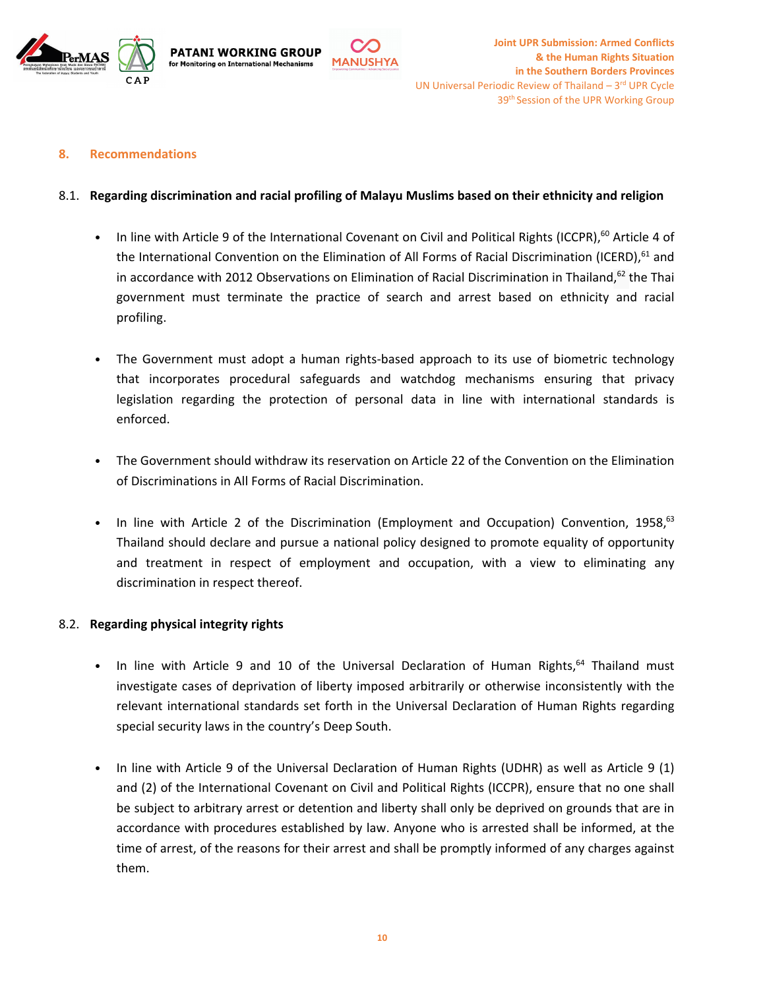





#### **8. Recommendations**

#### 8.1. **Regarding discrimination and racial profiling of Malayu Muslims based on their ethnicity and religion**

- •• In line with Article 9 of the International Covenant on Civil and Political Rights (ICCPR),<sup>60</sup> Article 4 of the International Convention on the Elimination of All Forms of Racial Discrimination (ICERD), <sup>61</sup> and in accordance with 2012 Observations on Elimination of Racial Discrimination in Thailand,<sup>62</sup> the Thai government must terminate the practice of search and arrest based on ethnicity and racial profiling.
- • The Government must adopt <sup>a</sup> human rights-based approach to its use of biometric technology that incorporates procedural safeguards and watchdog mechanisms ensuring that privacy legislation regarding the protection of personal data in line with international standards is enforced.
- • The Government should withdraw its reservation on Article 22 of the Convention on the Elimination of Discriminations in All Forms of Racial Discrimination.
- •• In line with Article 2 of the Discrimination (Employment and Occupation) Convention, 1958,<sup>63</sup> Thailand should declare and pursue <sup>a</sup> national policy designed to promote equality of opportunity and treatment in respect of employment and occupation, with <sup>a</sup> view to eliminating any discrimination in respect thereof.

### 8.2. **Regarding physical integrity rights**

- •• In line with Article 9 and 10 of the Universal Declaration of Human Rights, $^{64}$  Thailand must investigate cases of deprivation of liberty imposed arbitrarily or otherwise inconsistently with the relevant international standards set forth in the Universal Declaration of Human Rights regarding special security laws in the country'<sup>s</sup> Deep South.
- • In line with Article 9 of the Universal Declaration of Human Rights (UDHR) as well as Article 9 (1) and (2) of the International Covenant on Civil and Political Rights (ICCPR), ensure that no one shall be subject to arbitrary arrest or detention and liberty shall only be deprived on grounds that are in accordance with procedures established by law. Anyone who is arrested shall be informed, at the time of arrest, of the reasons for their arrest and shall be promptly informed of any charges against them.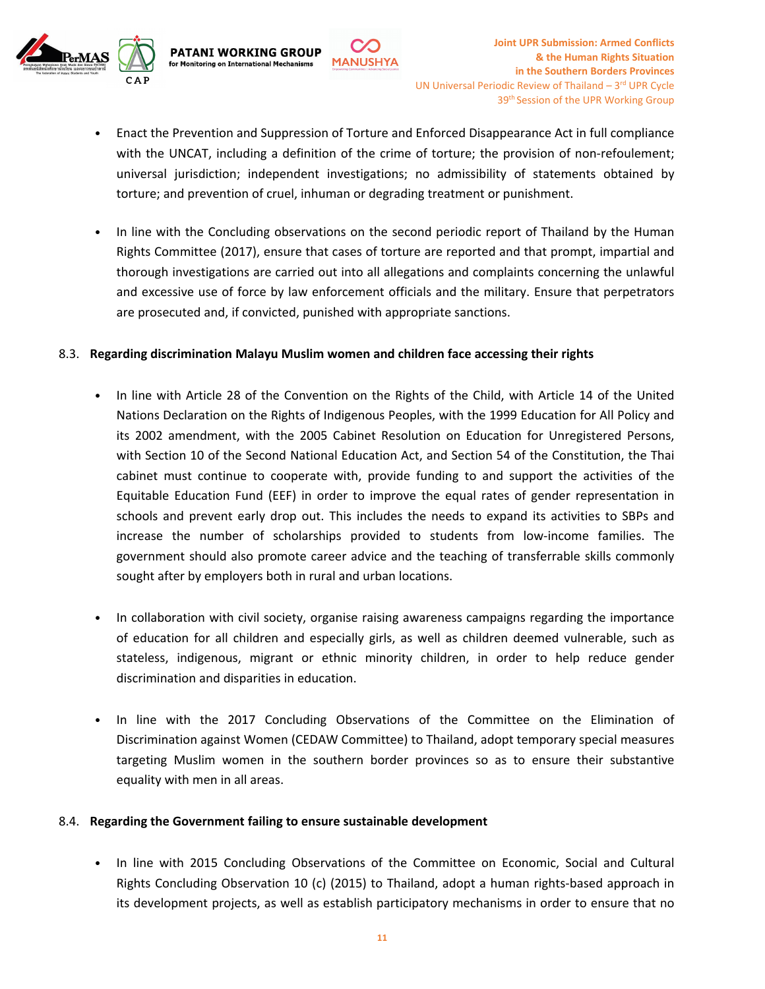

• Enact the Prevention and Suppression of Torture and Enforced Disappearance Act in full compliance with the UNCAT, including <sup>a</sup> definition of the crime of torture; the provision of non-refoulement; universal jurisdiction; independent investigations; no admissibility of statements obtained by torture; and prevention of cruel, inhuman or degrading treatment or punishment.

**MANUSHYA** 

• In line with the Concluding observations on the second periodic report of Thailand by the Human Rights Committee (2017), ensure that cases of torture are reported and that prompt, impartial and thorough investigations are carried out into all allegations and complaints concerning the unlawful and excessive use of force by law enforcement officials and the military. Ensure that perpetrators are prosecuted and, if convicted, punished with appropriate sanctions.

#### 8.3. **Regarding discrimination Malayu Muslim women and children face accessing their rights**

**PATANI WORKING GROUP** 

for Monitoring on International Mechanisms

- • In line with Article 28 of the Convention on the Rights of the Child, with Article 14 of the United Nations Declaration on the Rights of Indigenous Peoples, with the 1999 Education for All Policy and its 2002 amendment, with the 2005 Cabinet Resolution on Education for Unregistered Persons, with Section 10 of the Second National Education Act, and Section 54 of the Constitution, the Thai cabinet must continue to cooperate with, provide funding to and support the activities of the Equitable Education Fund (EEF) in order to improve the equal rates of gender representation in schools and prevent early drop out. This includes the needs to expand its activities to SBPs and increase the number of scholarships provided to students from low-income families. The government should also promote career advice and the teaching of transferrable skills commonly sought after by employers both in rural and urban locations.
- • In collaboration with civil society, organise raising awareness campaigns regarding the importance of education for all children and especially girls, as well as children deemed vulnerable, such as stateless, indigenous, migrant or ethnic minority children, in order to help reduce gender discrimination and disparities in education.
- • In line with the 2017 Concluding Observations of the Committee on the Elimination of Discrimination against Women (CEDAW Committee) to Thailand, adopt temporary special measures targeting Muslim women in the southern border provinces so as to ensure their substantive equality with men in all areas.

#### 8.4. **Regarding the Government failing to ensure sustainable development**

• In line with 2015 Concluding Observations of the Committee on Economic, Social and Cultural Rights Concluding Observation 10 (c) (2015) to Thailand, adopt <sup>a</sup> human rights-based approach in its development projects, as well as establish participatory mechanisms in order to ensure that no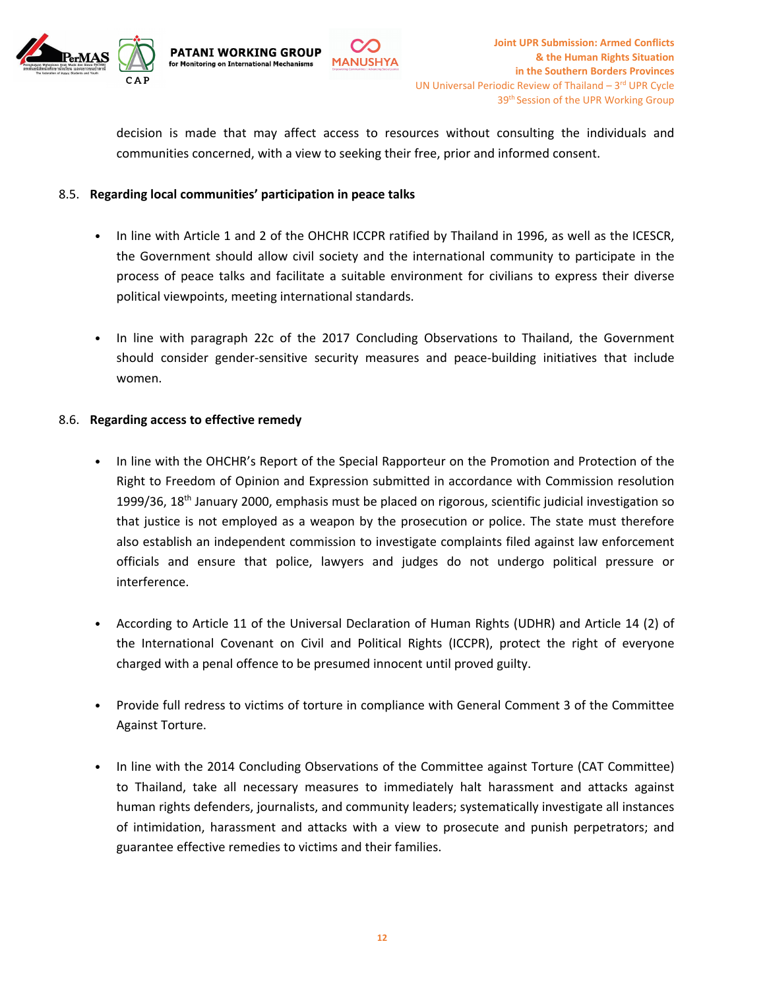

decision is made that may affect access to resources without consulting the individuals and communities concerned, with <sup>a</sup> view to seeking their free, prior and informed consent.

**MANUSHYA** 

#### 8.5. **Regarding local communities' participation in peace talks**

**PATANI WORKING GROUP** 

for Monitoring on International Mechanisms

- • In line with Article 1 and 2 of the OHCHR ICCPR ratified by Thailand in 1996, as well as the ICESCR, the Government should allow civil society and the international community to participate in the process of peace talks and facilitate <sup>a</sup> suitable environment for civilians to express their diverse political viewpoints, meeting international standards.
- In line with paragraph 22c of the 2017 Concluding Observations to Thailand, the Government should consider gender-sensitive security measures and peace-building initiatives that include women.

#### 8.6. **Regarding access to effective remedy**

- • In line with the OHCHR'<sup>s</sup> Report of the Special Rapporteur on the Promotion and Protection of the Right to Freedom of Opinion and Expression submitted in accordance with Commission resolution 1999/36, 18<sup>th</sup> January 2000, emphasis must be placed on rigorous, scientific judicial investigation so that justice is not employed as <sup>a</sup> weapon by the prosecution or police. The state must therefore also establish an independent commission to investigate complaints filed against law enforcement officials and ensure that police, lawyers and judges do not undergo political pressure or interference.
- According to Article 11 of the Universal Declaration of Human Rights (UDHR) and Article 14 (2) of the International Covenant on Civil and Political Rights (ICCPR), protect the right of everyone charged with <sup>a</sup> penal offence to be presumed innocent until proved guilty.
- Provide full redress to victims of torture in compliance with General Comment 3 of the Committee Against Torture.
- • In line with the 2014 Concluding Observations of the Committee against Torture (CAT Committee) to Thailand, take all necessary measures to immediately halt harassment and attacks against human rights defenders, journalists, and community leaders; systematically investigate all instances of intimidation, harassment and attacks with <sup>a</sup> view to prosecute and punish perpetrators; and guarantee effective remedies to victims and their families.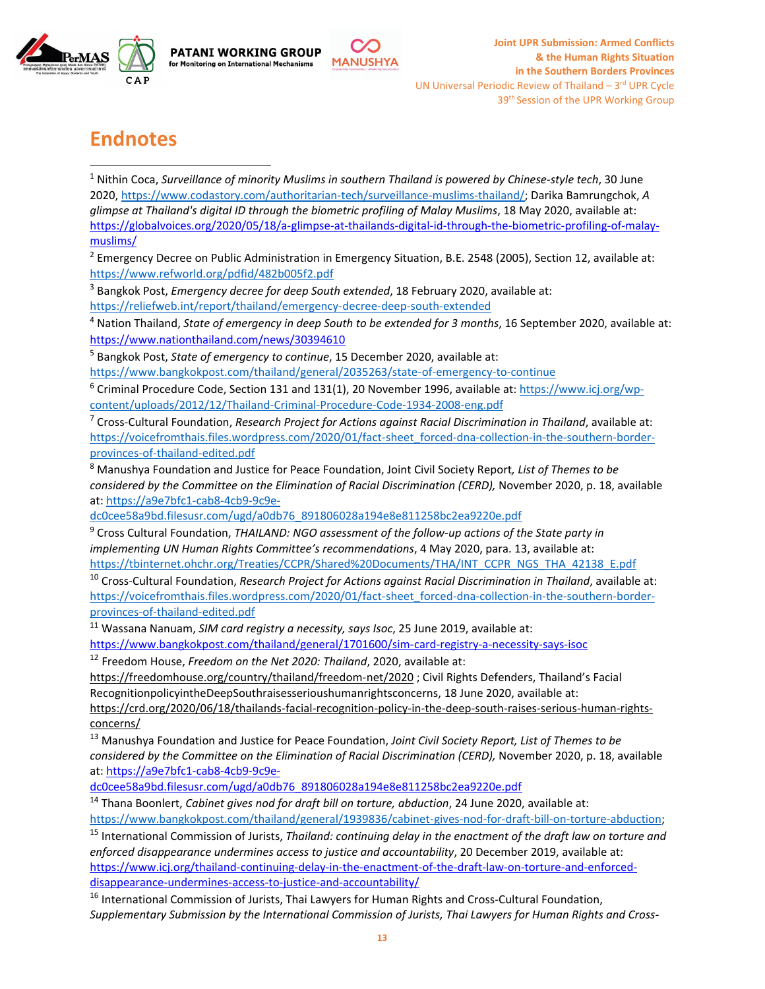

# **Endnotes**

1 Nithin Coca, *Surveillance of minority Muslims in southern Thailand is powered by Chinese-style tech*, 30 June 2020, <https://www.codastory.com/authoritarian-tech/surveillance-muslims-thailand/>; Darika Bamrungchok, *A glimpse at Thailand's digital ID through the biometric profiling of Malay Muslims*, 18 May 2020, available at: [https://globalvoices.org/2020/05/18/a-glimpse-at-thailands-digital-id-through-the-biometric-profiling-of-malay](https://globalvoices.org/2020/05/18/a-glimpse-at-thailands-digital-id-through-the-biometric-profiling-of-malay-muslims/)[muslims/](https://globalvoices.org/2020/05/18/a-glimpse-at-thailands-digital-id-through-the-biometric-profiling-of-malay-muslims/)

**MANUSHYA** 

<sup>2</sup> Emergency Decree on Public Administration in Emergency Situation, B.E. 2548 (2005), Section 12, available at: <https://www.refworld.org/pdfid/482b005f2.pdf>

3 Bangkok Post, *Emergency decree for deep South extended*, 18 February 2020, available at:

<https://reliefweb.int/report/thailand/emergency-decree-deep-south-extended>

**PATANI WORKING GROUP** 

for Monitoring on International Mechanisms

4 Nation Thailand, *State of emergency in deep South to be extended for 3 months*, 16 September 2020, available at: <https://www.nationthailand.com/news/30394610>

5 Bangkok Post, *State of emergency to continue*, 15 December 2020, available at:

<https://www.bangkokpost.com/thailand/general/2035263/state-of-emergency-to-continue>

<sup>6</sup> Criminal Procedure Code, Section 131 and 131(1), 20 November 1996, available at: [https://www.icj.org/wp](https://www.icj.org/wp-content/uploads/2012/12/Thailand-Criminal-Procedure-Code-1934-2008-eng.pdf)[content/uploads/2012/12/Thailand-Criminal-Procedure-Code-1934-2008-eng.pdf](https://www.icj.org/wp-content/uploads/2012/12/Thailand-Criminal-Procedure-Code-1934-2008-eng.pdf)

7 Cross-Cultural Foundation, *Research Project for Actions against Racial Discrimination in Thailand*, available at: [https://voicefromthais.files.wordpress.com/2020/01/fact-sheet\\_forced-dna-collection-in-the-southern-border](https://voicefromthais.files.wordpress.com/2020/01/fact-sheet_forced-dna-collection-in-the-southern-border-provinces-of-thailand-edited.pdf)[provinces-of-thailand-edited.pdf](https://voicefromthais.files.wordpress.com/2020/01/fact-sheet_forced-dna-collection-in-the-southern-border-provinces-of-thailand-edited.pdf)

<sup>8</sup> Manushya Foundation and Justice for Peace Foundation, Joint Civil Society Report*, List of Themes to be considered by the Committee on the Elimination of Racial Discrimination (CERD),* November 2020, p. 18, available at: [https://a9e7bfc1-cab8-4cb9-9c9e-](https://a9e7bfc1-cab8-4cb9-9c9e-dc0cee58a9bd.filesusr.com/ugd/a0db76_891806028a194e8e811258bc2ea9220e.pdf)

[dc0cee58a9bd.filesusr.com/ugd/a0db76\\_891806028a194e8e811258bc2ea9220e.pdf](https://a9e7bfc1-cab8-4cb9-9c9e-dc0cee58a9bd.filesusr.com/ugd/a0db76_891806028a194e8e811258bc2ea9220e.pdf)

9 Cross Cultural Foundation, *THAILAND: NGO assessment of the follow-up actions of the State party in implementing UN Human Rights Committee'<sup>s</sup> recommendations*, 4 May 2020, para. 13, available at: [https://tbinternet.ohchr.org/Treaties/CCPR/Shared%20Documents/THA/INT\\_CCPR\\_NGS\\_THA\\_42138\\_E.pdf](https://tbinternet.ohchr.org/Treaties/CCPR/Shared%2520Documents/THA/INT_CCPR_NGS_THA_42138_E.pdf)

10 Cross-Cultural Foundation, *Research Project for Actions against Racial Discrimination in Thailand*, available at: [https://voicefromthais.files.wordpress.com/2020/01/fact-sheet\\_forced-dna-collection-in-the-southern-border](https://voicefromthais.files.wordpress.com/2020/01/fact-sheet_forced-dna-collection-in-the-southern-border-provinces-of-thailand-edited.pdf)[provinces-of-thailand-edited.pdf](https://voicefromthais.files.wordpress.com/2020/01/fact-sheet_forced-dna-collection-in-the-southern-border-provinces-of-thailand-edited.pdf)

<sup>11</sup> Wassana Nanuam, *SIM card registry <sup>a</sup> necessity, says Isoc*, <sup>25</sup> June 2019, available at:

<https://www.bangkokpost.com/thailand/general/1701600/sim-card-registry-a-necessity-says-isoc>

12 Freedom House, *Freedom on the Net 2020: Thailand*, 2020, available at:

<https://freedomhouse.org/country/thailand/freedom-net/2020> ; Civil Rights Defenders, Thailand'<sup>s</sup> Facial RecognitionpolicyintheDeepSouthraisesserioushumanrightsconcerns, 18 June 2020, available at:

[https://crd.org/2020/06/18/thailands-facial-recognition-policy-in-the-deep-south-raises-serious-human-rights](https://crd.org/2020/06/18/thailands-facial-recognition-policy-in-the-deep-south-raises-serious-human-rights-concerns/)[concerns/](https://crd.org/2020/06/18/thailands-facial-recognition-policy-in-the-deep-south-raises-serious-human-rights-concerns/)

<sup>13</sup> Manushya Foundation and Justice for Peace Foundation, *Joint Civil Society Report, List of Themes to be considered by the Committee on the Elimination of Racial Discrimination (CERD),* November 2020, p. 18, available at: [https://a9e7bfc1-cab8-4cb9-9c9e-](https://a9e7bfc1-cab8-4cb9-9c9e-dc0cee58a9bd.filesusr.com/ugd/a0db76_891806028a194e8e811258bc2ea9220e.pdf)

[dc0cee58a9bd.filesusr.com/ugd/a0db76\\_891806028a194e8e811258bc2ea9220e.pdf](https://a9e7bfc1-cab8-4cb9-9c9e-dc0cee58a9bd.filesusr.com/ugd/a0db76_891806028a194e8e811258bc2ea9220e.pdf)

14 Thana Boonlert, *Cabinet gives nod for draft bill on torture, abduction*, 24 June 2020, available at: <https://www.bangkokpost.com/thailand/general/1939836/cabinet-gives-nod-for-draft-bill-on-torture-abduction>;

15 International Commission of Jurists, *Thailand: continuing delay in the enactment of the draft law on torture and enforced disappearance undermines access to justice and accountability*, 20 December 2019, available at: [https://www.icj.org/thailand-continuing-delay-in-the-enactment-of-the-draft-law-on-torture-and-enforced](https://www.icj.org/thailand-continuing-delay-in-the-enactment-of-the-draft-law-on-torture-and-enforced-disappearance-undermines-access-to-justice-and-accountability/)[disappearance-undermines-access-to-justice-and-accountability/](https://www.icj.org/thailand-continuing-delay-in-the-enactment-of-the-draft-law-on-torture-and-enforced-disappearance-undermines-access-to-justice-and-accountability/)

<sup>16</sup> International Commission of Jurists, Thai Lawyers for Human Rights and Cross-Cultural Foundation, *Supplementary Submission by the International Commission of Jurists, Thai Lawyers for Human Rights and Cross-*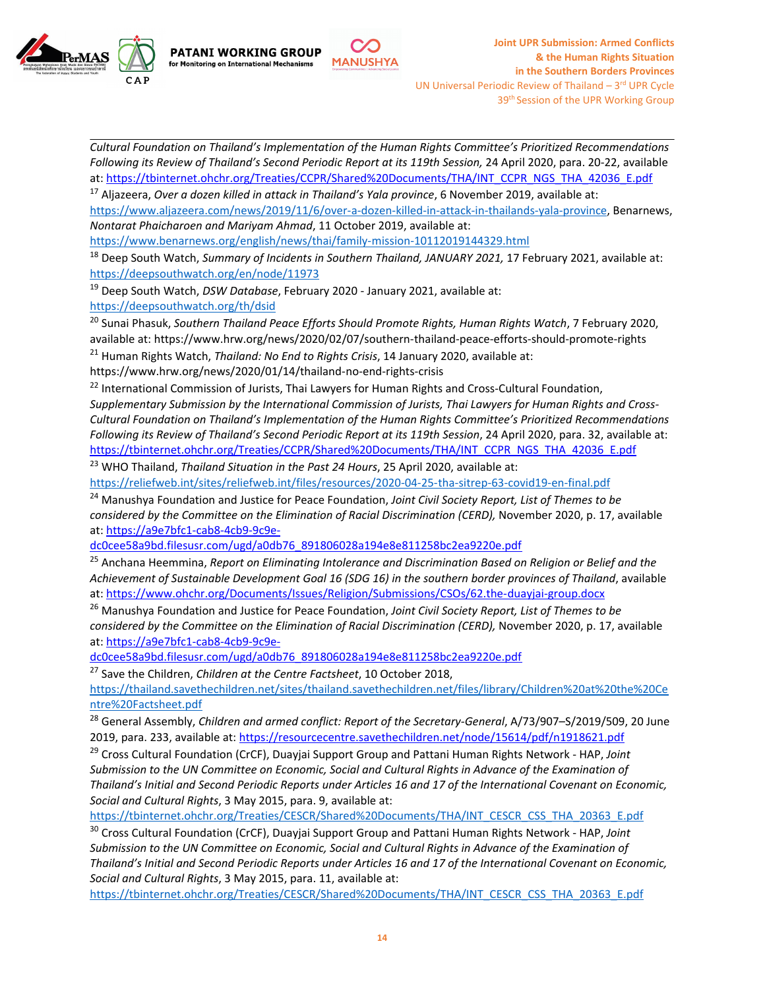

**PATANI WORKING GROUP** for Monitoring on International Mechanisms



*Cultural Foundation on Thailand'<sup>s</sup> Implementation of the Human Rights Committee'<sup>s</sup> Prioritized Recommendations Following its Review of Thailand'<sup>s</sup> Second Periodic Report at its 119th Session,* 24 April 2020, para. 20-22, available at: [https://tbinternet.ohchr.org/Treaties/CCPR/Shared%20Documents/THA/INT\\_CCPR\\_NGS\\_THA\\_42036\\_E.pdf](https://tbinternet.ohchr.org/Treaties/CCPR/Shared%2520Documents/THA/INT_CCPR_NGS_THA_42036_E.pdf)

17 Aljazeera, *Over <sup>a</sup> dozen killed in attack in Thailand'<sup>s</sup> Yala province*, 6 November 2019, available at: <https://www.aljazeera.com/news/2019/11/6/over-a-dozen-killed-in-attack-in-thailands-yala-province>, Benarnews, *Nontarat Phaicharoen and Mariyam Ahmad*, 11 October 2019, available at:

<https://www.benarnews.org/english/news/thai/family-mission-10112019144329.html>

18 Deep South Watch, *Summary of Incidents in Southern Thailand, JANUARY 2021,* 17 February 2021, available at: <https://deepsouthwatch.org/en/node/11973>

<sup>19</sup> Deep South Watch, *DSW Database*, February 2020 - January 2021, available at:

<https://deepsouthwatch.org/th/dsid>

20 Sunai Phasuk, *Southern Thailand Peace Efforts Should Promote Rights, Human Rights Watch*, 7 February 2020, available at: <https://www.hrw.org/news/2020/02/07/southern-thailand-peace-efforts-should-promote-rights>

21 Human Rights Watch, *Thailand: No End to Rights Crisis*, 14 January 2020, available at:

<https://www.hrw.org/news/2020/01/14/thailand-no-end-rights-crisis>

 $^{22}$  International Commission of Jurists, Thai Lawyers for Human Rights and Cross-Cultural Foundation,

*Supplementary Submission by the International Commission of Jurists, Thai Lawyers for Human Rights and Cross-Cultural Foundation on Thailand'<sup>s</sup> Implementation of the Human Rights Committee'<sup>s</sup> Prioritized Recommendations Following its Review of Thailand'<sup>s</sup> Second Periodic Report at its 119th Session*, 24 April 2020, para. 32, available at: [https://tbinternet.ohchr.org/Treaties/CCPR/Shared%20Documents/THA/INT\\_CCPR\\_NGS\\_THA\\_42036\\_E.pdf](https://tbinternet.ohchr.org/Treaties/CCPR/Shared%2520Documents/THA/INT_CCPR_NGS_THA_42036_E.pdf)

<sup>23</sup> WHO Thailand, *Thailand Situation in the Past <sup>24</sup> Hours*, <sup>25</sup> April 2020, available at:

<https://reliefweb.int/sites/reliefweb.int/files/resources/2020-04-25-tha-sitrep-63-covid19-en-final.pdf>

<sup>24</sup> Manushya Foundation and Justice for Peace Foundation, *Joint Civil Society Report, List of Themes to be considered by the Committee on the Elimination of Racial Discrimination (CERD),* November 2020, p. 17, available at: [https://a9e7bfc1-cab8-4cb9-9c9e-](https://a9e7bfc1-cab8-4cb9-9c9e-dc0cee58a9bd.filesusr.com/ugd/a0db76_891806028a194e8e811258bc2ea9220e.pdf)

[dc0cee58a9bd.filesusr.com/ugd/a0db76\\_891806028a194e8e811258bc2ea9220e.pdf](https://a9e7bfc1-cab8-4cb9-9c9e-dc0cee58a9bd.filesusr.com/ugd/a0db76_891806028a194e8e811258bc2ea9220e.pdf)

25 Anchana Heemmina, *Report on Eliminating Intolerance and Discrimination Based on Religion or Belief and the Achievement of Sustainable Development Goal 16 (SDG 16) in the southern border provinces of Thailand*, available at: <https://www.ohchr.org/Documents/Issues/Religion/Submissions/CSOs/62.the-duayjai-group.docx>

<sup>26</sup> Manushya Foundation and Justice for Peace Foundation, *Joint Civil Society Report, List of Themes to be considered by the Committee on the Elimination of Racial Discrimination (CERD),* November 2020, p. 17, available at: [https://a9e7bfc1-cab8-4cb9-9c9e-](https://a9e7bfc1-cab8-4cb9-9c9e-dc0cee58a9bd.filesusr.com/ugd/a0db76_891806028a194e8e811258bc2ea9220e.pdf)

[dc0cee58a9bd.filesusr.com/ugd/a0db76\\_891806028a194e8e811258bc2ea9220e.pdf](https://a9e7bfc1-cab8-4cb9-9c9e-dc0cee58a9bd.filesusr.com/ugd/a0db76_891806028a194e8e811258bc2ea9220e.pdf)

27 Save the Children, *Children at the Centre Factsheet*, 10 October 2018,

[https://thailand.savethechildren.net/sites/thailand.savethechildren.net/files/library/Children%20at%20the%20Ce](https://thailand.savethechildren.net/sites/thailand.savethechildren.net/files/library/Children%2520at%2520the%2520Centre%2520Factsheet.pdf) [ntre%20Factsheet.pdf](https://thailand.savethechildren.net/sites/thailand.savethechildren.net/files/library/Children%2520at%2520the%2520Centre%2520Factsheet.pdf)

28 General Assembly, *Children and armed conflict: Report of the Secretary-General*, A/73/907–S/2019/509, 20 June 2019, para. 233, available at: <https://resourcecentre.savethechildren.net/node/15614/pdf/n1918621.pdf>

29 Cross Cultural Foundation (CrCF), Duayjai Support Group and Pattani Human Rights Network - HAP, *Joint Submission to the UN Committee on Economic, Social and Cultural Rights in Advance of the Examination of* Thailand's Initial and Second Periodic Reports under Articles 16 and 17 of the International Covenant on Economic, *Social and Cultural Rights*, 3 May 2015, para. 9, available at:

[https://tbinternet.ohchr.org/Treaties/CESCR/Shared%20Documents/THA/INT\\_CESCR\\_CSS\\_THA\\_20363\\_E.pdf](https://tbinternet.ohchr.org/Treaties/CESCR/Shared%2520Documents/THA/INT_CESCR_CSS_THA_20363_E.pdf)

30 Cross Cultural Foundation (CrCF), Duayjai Support Group and Pattani Human Rights Network - HAP, *Joint Submission to the UN Committee on Economic, Social and Cultural Rights in Advance of the Examination of* Thailand's Initial and Second Periodic Reports under Articles 16 and 17 of the International Covenant on Economic, *Social and Cultural Rights*, 3 May 2015, para. 11, available at:

[https://tbinternet.ohchr.org/Treaties/CESCR/Shared%20Documents/THA/INT\\_CESCR\\_CSS\\_THA\\_20363\\_E.pdf](https://tbinternet.ohchr.org/Treaties/CESCR/Shared%2520Documents/THA/INT_CESCR_CSS_THA_20363_E.pdf)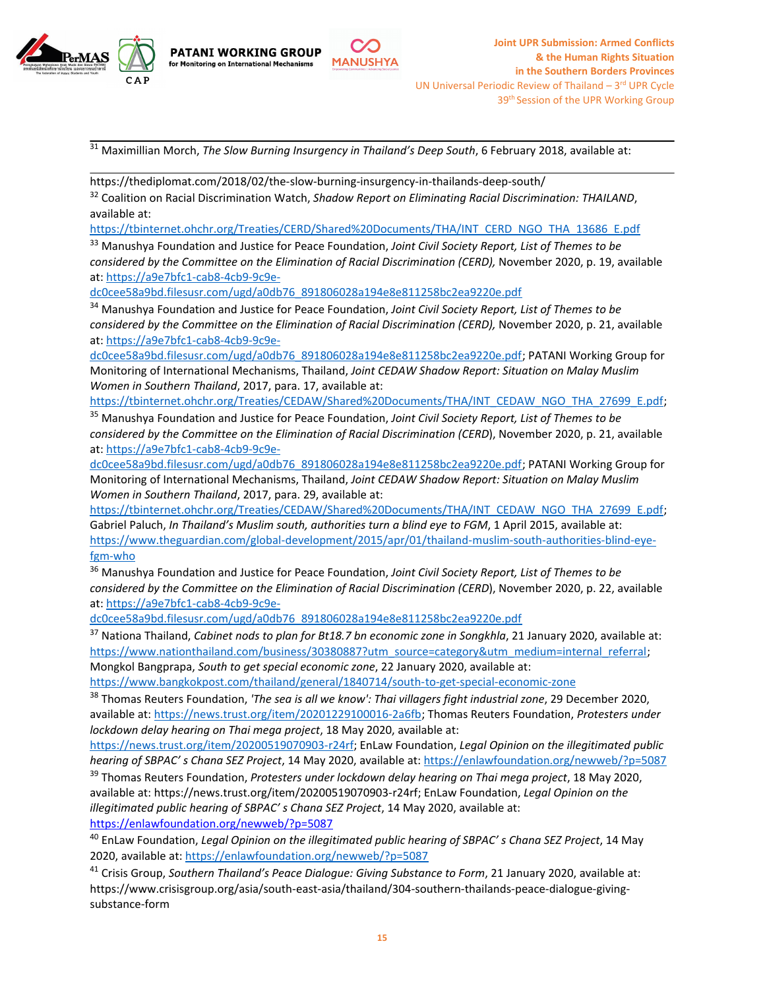



<sup>31</sup> Maximillian Morch, *The Slow Burning Insurgency in Thailand'<sup>s</sup> Deep South*, <sup>6</sup> February 2018, available at:

**MANUSHYA** 

https://thediplomat.com/2018/02/the-slow-burning-insurgency-in-thailands-deep-south/

**PATANI WORKING GROUP** 

for Monitoring on International Mechanisms

32 Coalition on Racial Discrimination Watch, *Shadow Report on Eliminating Racial Discrimination: THAILAND*, available at:

[https://tbinternet.ohchr.org/Treaties/CERD/Shared%20Documents/THA/INT\\_CERD\\_NGO\\_THA\\_13686\\_E.pdf](https://tbinternet.ohchr.org/Treaties/CERD/Shared%2520Documents/THA/INT_CERD_NGO_THA_13686_E.pdf)

<sup>33</sup> Manushya Foundation and Justice for Peace Foundation, *Joint Civil Society Report, List of Themes to be considered by the Committee on the Elimination of Racial Discrimination (CERD),* November 2020, p. 19, available at: [https://a9e7bfc1-cab8-4cb9-9c9e-](https://a9e7bfc1-cab8-4cb9-9c9e-dc0cee58a9bd.filesusr.com/ugd/a0db76_891806028a194e8e811258bc2ea9220e.pdf)

[dc0cee58a9bd.filesusr.com/ugd/a0db76\\_891806028a194e8e811258bc2ea9220e.pdf](https://a9e7bfc1-cab8-4cb9-9c9e-dc0cee58a9bd.filesusr.com/ugd/a0db76_891806028a194e8e811258bc2ea9220e.pdf)

<sup>34</sup> Manushya Foundation and Justice for Peace Foundation, *Joint Civil Society Report, List of Themes to be considered by the Committee on the Elimination of Racial Discrimination (CERD),* November 2020, p. 21, available at: [https://a9e7bfc1-cab8-4cb9-9c9e-](https://a9e7bfc1-cab8-4cb9-9c9e-dc0cee58a9bd.filesusr.com/ugd/a0db76_891806028a194e8e811258bc2ea9220e.pdf)

[dc0cee58a9bd.filesusr.com/ugd/a0db76\\_891806028a194e8e811258bc2ea9220e.pdf](https://a9e7bfc1-cab8-4cb9-9c9e-dc0cee58a9bd.filesusr.com/ugd/a0db76_891806028a194e8e811258bc2ea9220e.pdf); PATANI Working Group for Monitoring of International Mechanisms, Thailand, *Joint CEDAW Shadow Report: Situation on Malay Muslim Women in Southern Thailand*, 2017, para. 17, available at:

[https://tbinternet.ohchr.org/Treaties/CEDAW/Shared%20Documents/THA/INT\\_CEDAW\\_NGO\\_THA\\_27699\\_E.pdf](https://tbinternet.ohchr.org/Treaties/CEDAW/Shared%2520Documents/THA/INT_CEDAW_NGO_THA_27699_E.pdf);

<sup>35</sup> Manushya Foundation and Justice for Peace Foundation, *Joint Civil Society Report, List of Themes to be considered by the Committee on the Elimination of Racial Discrimination (CERD*), November 2020, p. 21, available at: [https://a9e7bfc1-cab8-4cb9-9c9e-](https://a9e7bfc1-cab8-4cb9-9c9e-dc0cee58a9bd.filesusr.com/ugd/a0db76_891806028a194e8e811258bc2ea9220e.pdf)

[dc0cee58a9bd.filesusr.com/ugd/a0db76\\_891806028a194e8e811258bc2ea9220e.pdf](https://a9e7bfc1-cab8-4cb9-9c9e-dc0cee58a9bd.filesusr.com/ugd/a0db76_891806028a194e8e811258bc2ea9220e.pdf); PATANI Working Group for Monitoring of International Mechanisms, Thailand, *Joint CEDAW Shadow Report: Situation on Malay Muslim Women in Southern Thailand*, 2017, para. 29, available at:

[https://tbinternet.ohchr.org/Treaties/CEDAW/Shared%20Documents/THA/INT\\_CEDAW\\_NGO\\_THA\\_27699\\_E.pdf](https://tbinternet.ohchr.org/Treaties/CEDAW/Shared%2520Documents/THA/INT_CEDAW_NGO_THA_27699_E.pdf); Gabriel Paluch, *In Thailand'<sup>s</sup> Muslim south, authorities turn <sup>a</sup> blind eye to FGM*, 1 April 2015, available at: [https://www.theguardian.com/global-development/2015/apr/01/thailand-muslim-south-authorities-blind-eye](https://www.theguardian.com/global-development/2015/apr/01/thailand-muslim-south-authorities-blind-eye-fgm-who)[fgm-who](https://www.theguardian.com/global-development/2015/apr/01/thailand-muslim-south-authorities-blind-eye-fgm-who)

<sup>36</sup> Manushya Foundation and Justice for Peace Foundation, *Joint Civil Society Report, List of Themes to be considered by the Committee on the Elimination of Racial Discrimination (CERD*), November 2020, p. 22, available at: [https://a9e7bfc1-cab8-4cb9-9c9e-](https://a9e7bfc1-cab8-4cb9-9c9e-dc0cee58a9bd.filesusr.com/ugd/a0db76_891806028a194e8e811258bc2ea9220e.pdf)

[dc0cee58a9bd.filesusr.com/ugd/a0db76\\_891806028a194e8e811258bc2ea9220e.pdf](https://a9e7bfc1-cab8-4cb9-9c9e-dc0cee58a9bd.filesusr.com/ugd/a0db76_891806028a194e8e811258bc2ea9220e.pdf)

37 Nationa Thailand, *Cabinet nods to plan for Bt18.7 bn economic zone in Songkhla*, 21 January 2020, available at: [https://www.nationthailand.com/business/30380887?utm\\_source=category&utm\\_medium=internal\\_referral](https://www.nationthailand.com/business/30380887?utm_source=category&utm_medium=internal_referral); Mongkol Bangprapa, *South to get special economic zone*, 22 January 2020, available at:

<https://www.bangkokpost.com/thailand/general/1840714/south-to-get-special-economic-zone>

38 Thomas Reuters Foundation, *'The sea is all we know': Thai villagers fight industrial zone*, 29 December 2020, available at: [https://news.trust.org/item/20201229100016-2a6fb;](https://news.trust.org/item/20201229100016-2a6fb) Thomas Reuters Foundation, *Protesters under lockdown delay hearing on Thai mega project*, 18 May 2020, available at:

<https://news.trust.org/item/20200519070903-r24rf>; EnLaw Foundation, *Legal Opinion on the illegitimated public hearing of SBPAC' <sup>s</sup> Chana SEZ Project*, 14 May 2020, available at: <https://enlawfoundation.org/newweb/?p=5087>

39 Thomas Reuters Foundation, *Protesters under lockdown delay hearing on Thai mega project*, 18 May 2020, available at: https://news.trust.org/item/20200519070903-r24rf; EnLaw Foundation, *Legal Opinion on the illegitimated public hearing of SBPAC' <sup>s</sup> Chana SEZ Project*, 14 May 2020, available at: <https://enlawfoundation.org/newweb/?p=5087>

40 EnLaw Foundation, *Legal Opinion on the illegitimated public hearing of SBPAC' <sup>s</sup> Chana SEZ Project*, 14 May 2020, available at: <https://enlawfoundation.org/newweb/?p=5087>

41 Crisis Group, *Southern Thailand'<sup>s</sup> Peace Dialogue: Giving Substance to Form*, 21 January 2020, available at: https://www.crisisgroup.org/asia/south-east-asia/thailand/304-southern-thailands-peace-dialogue-givingsubstance-form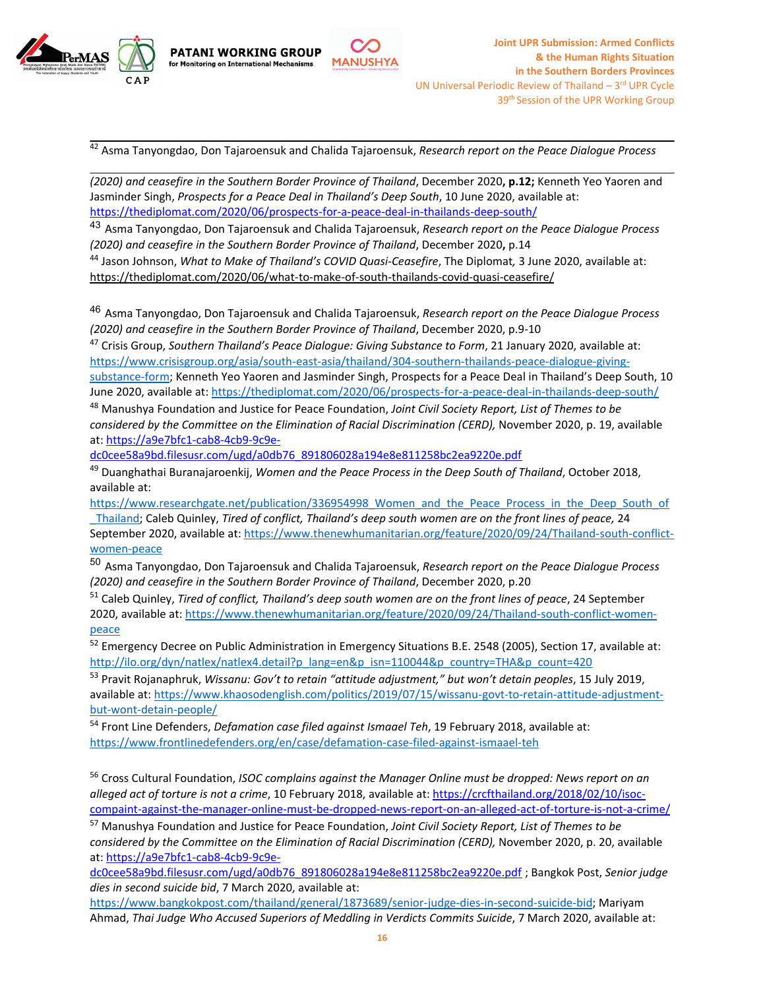



42 Asma Tanyongdao, Don Tajaroensuk and Chalida Tajaroensuk, *Research report on the Peace Dialogue Process*

*(2020) and ceasefire in the Southern Border Province of Thailand*, December 2020**, p.12;** Kenneth Yeo Yaoren and Jasminder Singh, *Prospects for <sup>a</sup> Peace Deal in Thailand'<sup>s</sup> Deep South*, 10 June 2020, available at: <https://thediplomat.com/2020/06/prospects-for-a-peace-deal-in-thailands-deep-south/>

43 Asma Tanyongdao, Don Tajaroensuk and Chalida Tajaroensuk, *Research report on the Peace Dialogue Process (2020) and ceasefire in the Southern Border Province of Thailand*, December 2020**,** p.14

44 Jason Johnson, *What to Make of Thailand'<sup>s</sup> COVID Quasi-Ceasefire*, The Diplomat*,* 3 June 2020, available at: <https://thediplomat.com/2020/06/what-to-make-of-south-thailands-covid-quasi-ceasefire/>

46 Asma Tanyongdao, Don Tajaroensuk and Chalida Tajaroensuk, *Research report on the Peace Dialogue Process (2020) and ceasefire in the Southern Border Province of Thailand*, December 2020, p.9-10

47 Crisis Group, *Southern Thailand'<sup>s</sup> Peace Dialogue: Giving Substance to Form*, 21 January 2020, available at: [https://www.crisisgroup.org/asia/south-east-asia/thailand/304-southern-thailands-peace-dialogue-giving-](https://www.crisisgroup.org/asia/south-east-asia/thailand/304-southern-thailands-peace-dialogue-giving-substance-form)

[substance-form](https://www.crisisgroup.org/asia/south-east-asia/thailand/304-southern-thailands-peace-dialogue-giving-substance-form); Kenneth Yeo Yaoren and Jasminder Singh, Prospects for <sup>a</sup> Peace Deal in Thailand'<sup>s</sup> Deep South, 10 June 2020, available at: <https://thediplomat.com/2020/06/prospects-for-a-peace-deal-in-thailands-deep-south/>

<sup>48</sup> Manushya Foundation and Justice for Peace Foundation, *Joint Civil Society Report, List of Themes to be considered by the Committee on the Elimination of Racial Discrimination (CERD),* November 2020, p. 19, available at: [https://a9e7bfc1-cab8-4cb9-9c9e-](https://a9e7bfc1-cab8-4cb9-9c9e-dc0cee58a9bd.filesusr.com/ugd/a0db76_891806028a194e8e811258bc2ea9220e.pdf)

[dc0cee58a9bd.filesusr.com/ugd/a0db76\\_891806028a194e8e811258bc2ea9220e.pdf](https://a9e7bfc1-cab8-4cb9-9c9e-dc0cee58a9bd.filesusr.com/ugd/a0db76_891806028a194e8e811258bc2ea9220e.pdf)

49 Duanghathai Buranajaroenkij, *Women and the Peace Process in the Deep South of Thailand*, October 2018, available at:

[https://www.researchgate.net/publication/336954998\\_Women\\_and\\_the\\_Peace\\_Process\\_in\\_the\\_Deep\\_South\\_of](https://www.researchgate.net/publication/336954998_Women_and_the_Peace_Process_in_the_Deep_South_of_Thailand) \_[Thailand](https://www.researchgate.net/publication/336954998_Women_and_the_Peace_Process_in_the_Deep_South_of_Thailand); Caleb Quinley, *Tired of conflict, Thailand'<sup>s</sup> deep south women are on the front lines of peace,* 24 September 2020, available at: [https://www.thenewhumanitarian.org/feature/2020/09/24/Thailand-south-conflict](https://www.thenewhumanitarian.org/feature/2020/09/24/Thailand-south-conflict-women-peace)[women-peace](https://www.thenewhumanitarian.org/feature/2020/09/24/Thailand-south-conflict-women-peace)

50 Asma Tanyongdao, Don Tajaroensuk and Chalida Tajaroensuk, *Research report on the Peace Dialogue Process (2020) and ceasefire in the Southern Border Province of Thailand*, December 2020, p.20

51 Caleb Quinley, *Tired of conflict, Thailand'<sup>s</sup> deep south women are on the front lines of peace*, 24 September 2020, available at: [https://www.thenewhumanitarian.org/feature/2020/09/24/Thailand-south-conflict-women](https://www.thenewhumanitarian.org/feature/2020/09/24/Thailand-south-conflict-women-peace)[peace](https://www.thenewhumanitarian.org/feature/2020/09/24/Thailand-south-conflict-women-peace)

<sup>52</sup> Emergency Decree on Public Administration in Emergency Situations B.E. 2548 (2005), Section 17, available at: [http://ilo.org/dyn/natlex/natlex4.detail?p\\_lang=en&p\\_isn=110044&p\\_country=THA&p\\_count=420](http://ilo.org/dyn/natlex/natlex4.detail?p_lang=en&p_isn=110044&p_country=THA&p_count=420)

53 Pravit Rojanaphruk, *Wissanu: Gov'<sup>t</sup> to retain "attitude adjustment," but won'<sup>t</sup> detain peoples*, 15 July 2019, available at: [https://www.khaosodenglish.com/politics/2019/07/15/wissanu-govt-to-retain-attitude-adjustment](https://www.khaosodenglish.com/politics/2019/07/15/wissanu-govt-to-retain-attitude-adjustment-but-wont-detain-people/)[but-wont-detain-people/](https://www.khaosodenglish.com/politics/2019/07/15/wissanu-govt-to-retain-attitude-adjustment-but-wont-detain-people/)

54 Front Line Defenders, *Defamation case filed against Ismaael Teh*, 19 February 2018, available at: <https://www.frontlinedefenders.org/en/case/defamation-case-filed-against-ismaael-teh>

56 Cross Cultural Foundation, *ISOC complains against the Manager Online must be dropped: News report on an alleged act of torture is not <sup>a</sup> crime*, 10 February 2018, available at: [https://crcfthailand.org/2018/02/10/isoc](https://crcfthailand.org/2018/02/10/isoc-compaint-against-the-manager-online-must-be-dropped-news-report-on-an-alleged-act-of-torture-is-not-a-crime/)[compaint-against-the-manager-online-must-be-dropped-news-report-on-an-alleged-act-of-torture-is-not-a-crime/](https://crcfthailand.org/2018/02/10/isoc-compaint-against-the-manager-online-must-be-dropped-news-report-on-an-alleged-act-of-torture-is-not-a-crime/)

<sup>57</sup> Manushya Foundation and Justice for Peace Foundation, *Joint Civil Society Report, List of Themes to be considered by the Committee on the Elimination of Racial Discrimination (CERD),* November 2020, p. 20, available at: [https://a9e7bfc1-cab8-4cb9-9c9e-](https://a9e7bfc1-cab8-4cb9-9c9e-dc0cee58a9bd.filesusr.com/ugd/a0db76_891806028a194e8e811258bc2ea9220e.pdf)

[dc0cee58a9bd.filesusr.com/ugd/a0db76\\_891806028a194e8e811258bc2ea9220e.pdf](https://a9e7bfc1-cab8-4cb9-9c9e-dc0cee58a9bd.filesusr.com/ugd/a0db76_891806028a194e8e811258bc2ea9220e.pdf) ; Bangkok Post, *Senior judge dies in second suicide bid*, 7 March 2020, available at:

<https://www.bangkokpost.com/thailand/general/1873689/senior-judge-dies-in-second-suicide-bid>; Mariyam Ahmad, *Thai Judge Who Accused Superiors of Meddling in Verdicts Commits Suicide*, 7 March 2020, available at: